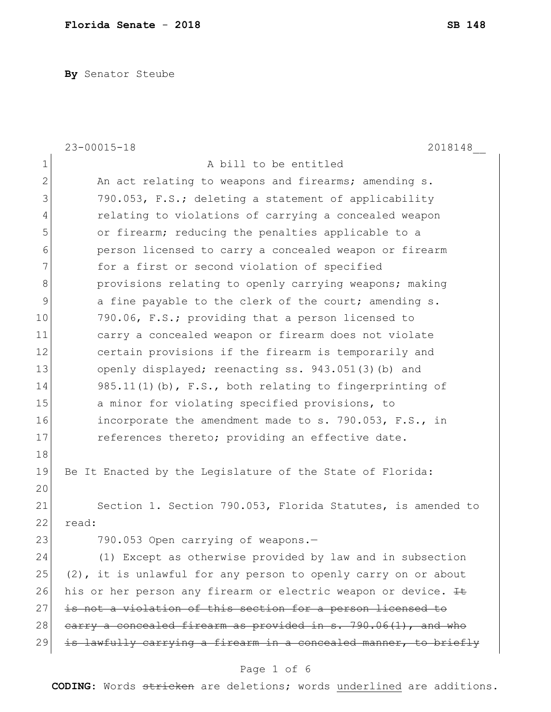**By** Senator Steube

|                | $23 - 00015 - 18$<br>2018148                                     |
|----------------|------------------------------------------------------------------|
| $\mathbf 1$    | A bill to be entitled                                            |
| $\mathbf{2}$   | An act relating to weapons and firearms; amending s.             |
| 3              | 790.053, F.S.; deleting a statement of applicability             |
| 4              | relating to violations of carrying a concealed weapon            |
| 5              | or firearm; reducing the penalties applicable to a               |
| 6              | person licensed to carry a concealed weapon or firearm           |
| $\overline{7}$ | for a first or second violation of specified                     |
| 8              | provisions relating to openly carrying weapons; making           |
| $\mathsf 9$    | a fine payable to the clerk of the court; amending s.            |
| 10             | 790.06, F.S.; providing that a person licensed to                |
| 11             | carry a concealed weapon or firearm does not violate             |
| 12             | certain provisions if the firearm is temporarily and             |
| 13             | openly displayed; reenacting ss. 943.051(3)(b) and               |
| 14             | $985.11(1)$ (b), F.S., both relating to fingerprinting of        |
| 15             | a minor for violating specified provisions, to                   |
| 16             | incorporate the amendment made to s. 790.053, F.S., in           |
| 17             | references thereto; providing an effective date.                 |
| 18             |                                                                  |
| 19             | Be It Enacted by the Legislature of the State of Florida:        |
| 20             |                                                                  |
| 21             | Section 1. Section 790.053, Florida Statutes, is amended to      |
| 22             | read:                                                            |
| 23             | 790.053 Open carrying of weapons.-                               |
| 24             | (1) Except as otherwise provided by law and in subsection        |
| 25             | (2), it is unlawful for any person to openly carry on or about   |
| 26             | his or her person any firearm or electric weapon or device. It   |
| 27             | is not a violation of this section for a person licensed to      |
| 28             | earry a concealed firearm as provided in s. 790.06(1), and who   |
| 29             | is lawfully carrying a firearm in a concealed manner, to briefly |
|                |                                                                  |

## Page 1 of 6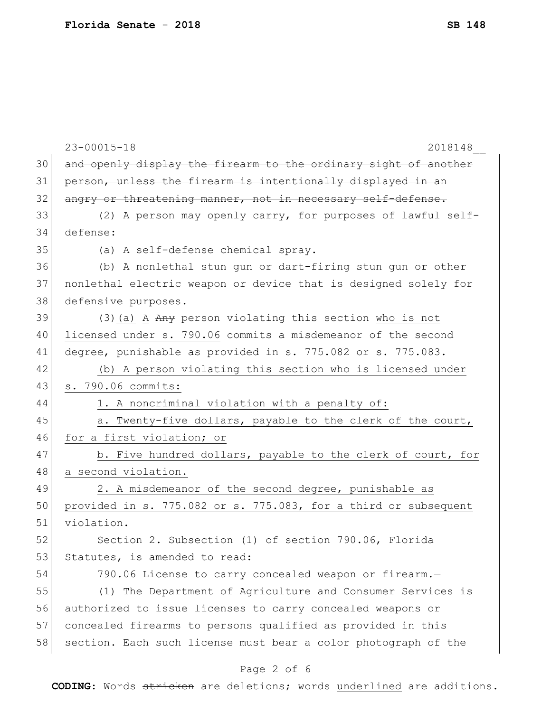|    | $23 - 00015 - 18$<br>2018148                                    |
|----|-----------------------------------------------------------------|
| 30 | and openly display the firearm to the ordinary sight of another |
| 31 | person, unless the firearm is intentionally displayed in an     |
| 32 | angry or threatening manner, not in necessary self-defense.     |
| 33 | (2) A person may openly carry, for purposes of lawful self-     |
| 34 | defense:                                                        |
| 35 | (a) A self-defense chemical spray.                              |
| 36 | (b) A nonlethal stun gun or dart-firing stun gun or other       |
| 37 | nonlethal electric weapon or device that is designed solely for |
| 38 | defensive purposes.                                             |
| 39 | (3) (a) A Any person violating this section who is not          |
| 40 | licensed under s. 790.06 commits a misdemeanor of the second    |
| 41 | degree, punishable as provided in s. 775.082 or s. 775.083.     |
| 42 | (b) A person violating this section who is licensed under       |
| 43 | s. 790.06 commits:                                              |
| 44 | 1. A noncriminal violation with a penalty of:                   |
| 45 | a. Twenty-five dollars, payable to the clerk of the court,      |
| 46 | for a first violation; or                                       |
| 47 | b. Five hundred dollars, payable to the clerk of court, for     |
| 48 | a second violation.                                             |
| 49 | 2. A misdemeanor of the second degree, punishable as            |
| 50 | provided in s. 775.082 or s. 775.083, for a third or subsequent |
| 51 | violation.                                                      |
| 52 | Section 2. Subsection (1) of section 790.06, Florida            |
| 53 | Statutes, is amended to read:                                   |
| 54 | 790.06 License to carry concealed weapon or firearm.-           |
| 55 | (1) The Department of Agriculture and Consumer Services is      |
| 56 | authorized to issue licenses to carry concealed weapons or      |
| 57 | concealed firearms to persons qualified as provided in this     |
| 58 | section. Each such license must bear a color photograph of the  |
|    | Page 2 of 6                                                     |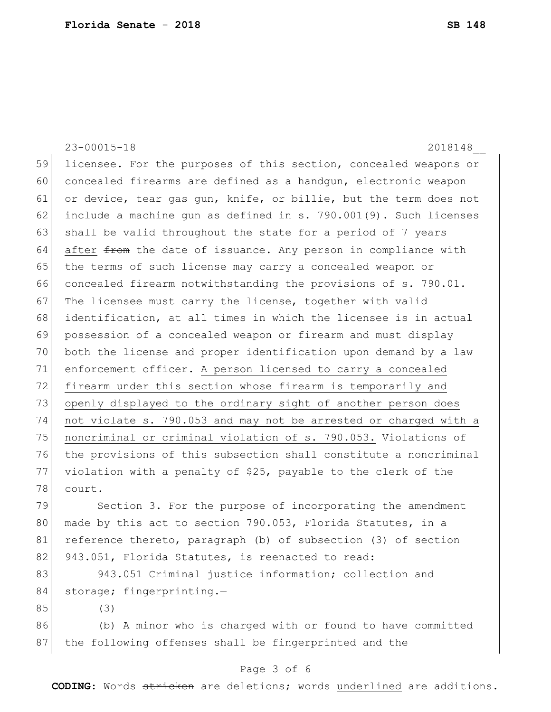23-00015-18 2018148\_\_ 59 licensee. For the purposes of this section, concealed weapons or 60 concealed firearms are defined as a handgun, electronic weapon 61 or device, tear gas gun, knife, or billie, but the term does not 62 include a machine gun as defined in s. 790.001(9). Such licenses 63 shall be valid throughout the state for a period of 7 years  $64$  after  $f$  and the date of issuance. Any person in compliance with 65 the terms of such license may carry a concealed weapon or 66 concealed firearm notwithstanding the provisions of s. 790.01. 67 The licensee must carry the license, together with valid 68 identification, at all times in which the licensee is in actual 69 possession of a concealed weapon or firearm and must display 70 both the license and proper identification upon demand by a law 71 enforcement officer. A person licensed to carry a concealed 72 firearm under this section whose firearm is temporarily and 73 openly displayed to the ordinary sight of another person does 74 not violate s. 790.053 and may not be arrested or charged with a 75 noncriminal or criminal violation of s. 790.053. Violations of 76 the provisions of this subsection shall constitute a noncriminal 77 violation with a penalty of \$25, payable to the clerk of the 78 court. 79 Section 3. For the purpose of incorporating the amendment 80 made by this act to section 790.053, Florida Statutes, in a 81 reference thereto, paragraph (b) of subsection (3) of section 82 943.051, Florida Statutes, is reenacted to read: 83 943.051 Criminal justice information; collection and 84 storage; fingerprinting.-85 (3) 86 (b) A minor who is charged with or found to have committed 87 | the following offenses shall be fingerprinted and the

## Page 3 of 6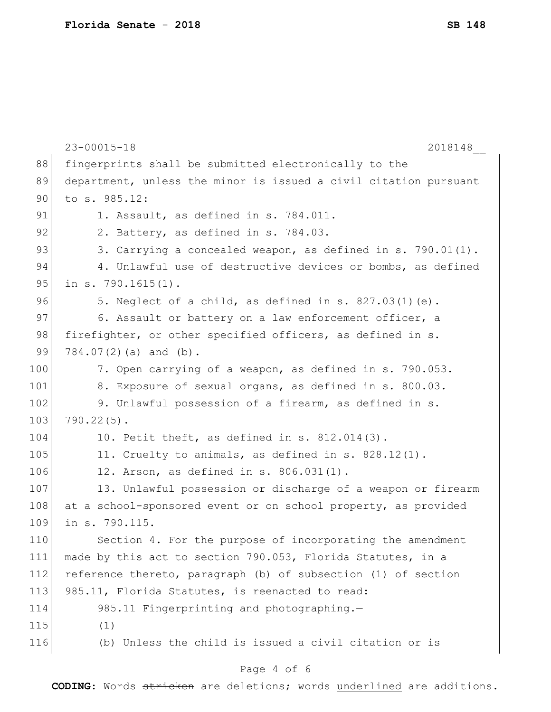|     | $23 - 00015 - 18$<br>2018148                                     |
|-----|------------------------------------------------------------------|
| 88  | fingerprints shall be submitted electronically to the            |
| 89  | department, unless the minor is issued a civil citation pursuant |
| 90  | to s. 985.12:                                                    |
| 91  | 1. Assault, as defined in s. 784.011.                            |
| 92  | 2. Battery, as defined in s. 784.03.                             |
| 93  | 3. Carrying a concealed weapon, as defined in s. 790.01(1).      |
| 94  | 4. Unlawful use of destructive devices or bombs, as defined      |
| 95  | in $s. 790.1615(1)$ .                                            |
| 96  | 5. Neglect of a child, as defined in s. $827.03(1)(e)$ .         |
| 97  | 6. Assault or battery on a law enforcement officer, a            |
| 98  | firefighter, or other specified officers, as defined in s.       |
| 99  | $784.07(2)$ (a) and (b).                                         |
| 100 | 7. Open carrying of a weapon, as defined in s. 790.053.          |
| 101 | 8. Exposure of sexual organs, as defined in s. 800.03.           |
| 102 | 9. Unlawful possession of a firearm, as defined in s.            |
| 103 | $790.22(5)$ .                                                    |
| 104 | 10. Petit theft, as defined in $s. 812.014(3)$ .                 |
| 105 | 11. Cruelty to animals, as defined in s. $828.12(1)$ .           |
| 106 | 12. Arson, as defined in s. 806.031(1).                          |
| 107 | 13. Unlawful possession or discharge of a weapon or firearm      |
| 108 | at a school-sponsored event or on school property, as provided   |
| 109 | in s. 790.115.                                                   |
| 110 | Section 4. For the purpose of incorporating the amendment        |
| 111 | made by this act to section 790.053, Florida Statutes, in a      |
| 112 | reference thereto, paragraph (b) of subsection (1) of section    |
| 113 | 985.11, Florida Statutes, is reenacted to read:                  |
| 114 | 985.11 Fingerprinting and photographing.-                        |
| 115 | (1)                                                              |
| 116 | (b) Unless the child is issued a civil citation or is            |
|     |                                                                  |

## Page 4 of 6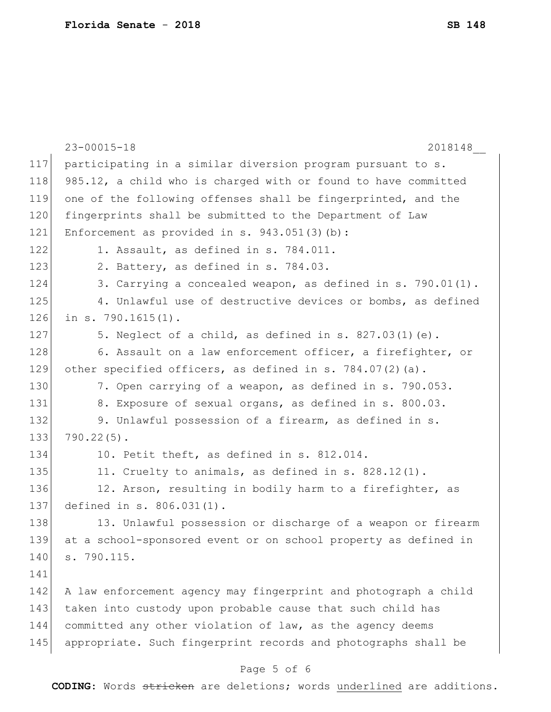|     | $23 - 00015 - 18$<br>2018148                                    |
|-----|-----------------------------------------------------------------|
| 117 | participating in a similar diversion program pursuant to s.     |
| 118 | 985.12, a child who is charged with or found to have committed  |
| 119 | one of the following offenses shall be fingerprinted, and the   |
| 120 | fingerprints shall be submitted to the Department of Law        |
| 121 | Enforcement as provided in s. $943.051(3)(b)$ :                 |
| 122 | 1. Assault, as defined in s. 784.011.                           |
| 123 | 2. Battery, as defined in s. 784.03.                            |
| 124 | 3. Carrying a concealed weapon, as defined in s. 790.01(1).     |
| 125 | 4. Unlawful use of destructive devices or bombs, as defined     |
| 126 | in $s. 790.1615(1)$ .                                           |
| 127 | 5. Neglect of a child, as defined in s. $827.03(1)(e)$ .        |
| 128 | 6. Assault on a law enforcement officer, a firefighter, or      |
| 129 | other specified officers, as defined in s. $784.07(2)(a)$ .     |
| 130 | 7. Open carrying of a weapon, as defined in s. 790.053.         |
| 131 | 8. Exposure of sexual organs, as defined in s. 800.03.          |
| 132 | 9. Unlawful possession of a firearm, as defined in s.           |
| 133 | $790.22(5)$ .                                                   |
| 134 | 10. Petit theft, as defined in s. 812.014.                      |
| 135 | 11. Cruelty to animals, as defined in s. 828.12(1).             |
| 136 | 12. Arson, resulting in bodily harm to a firefighter, as        |
| 137 | defined in s. 806.031(1).                                       |
| 138 | 13. Unlawful possession or discharge of a weapon or firearm     |
| 139 | at a school-sponsored event or on school property as defined in |
| 140 | s. 790.115.                                                     |
| 141 |                                                                 |
| 142 | A law enforcement agency may fingerprint and photograph a child |
| 143 | taken into custody upon probable cause that such child has      |
| 144 | committed any other violation of law, as the agency deems       |
| 145 | appropriate. Such fingerprint records and photographs shall be  |
|     | Page 5 of 6                                                     |